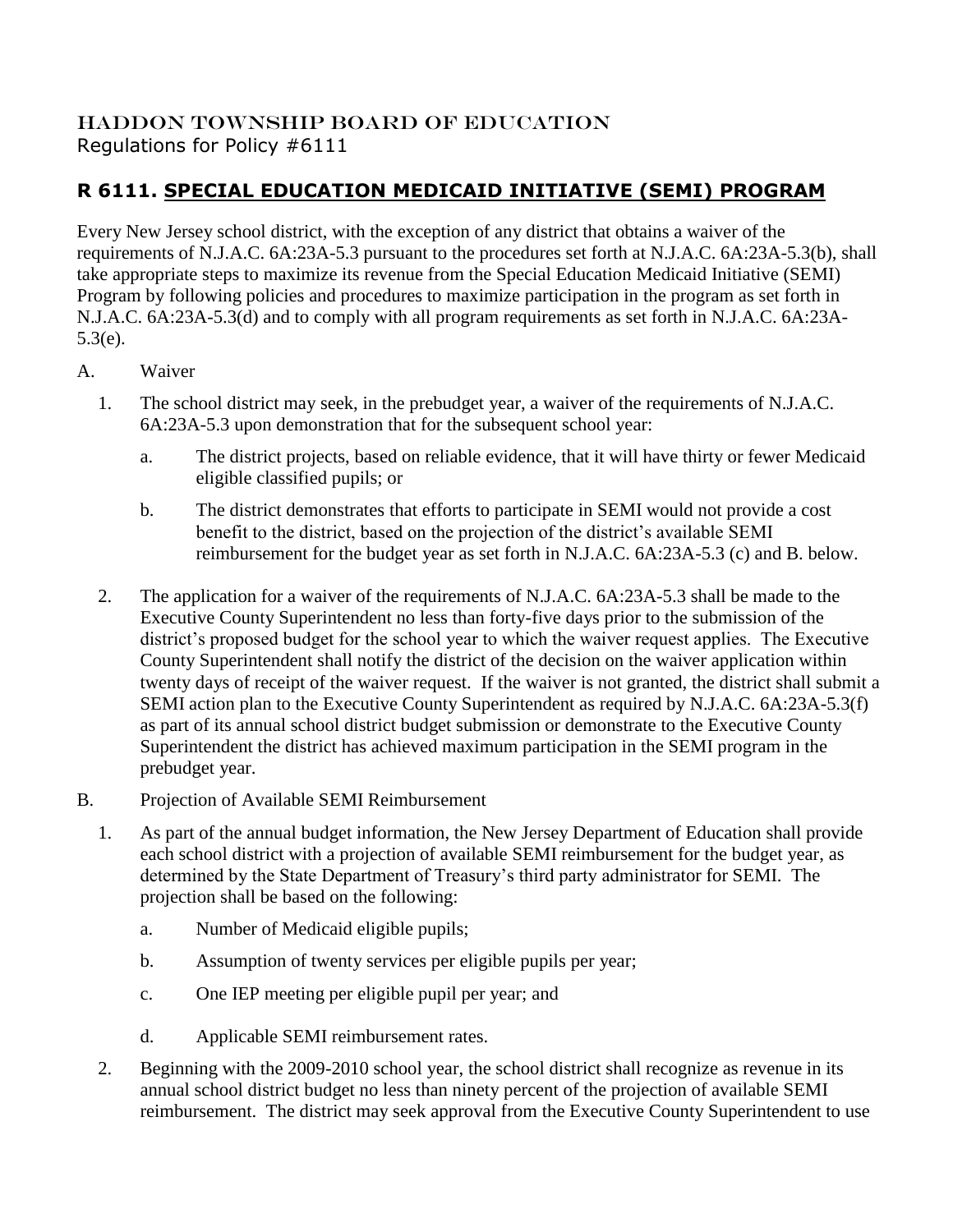## HADDON TOWNSHIP BOARD OF EDUCATION Regulations for Policy #6111

## **R 6111. SPECIAL EDUCATION MEDICAID INITIATIVE (SEMI) PROGRAM**

Every New Jersey school district, with the exception of any district that obtains a waiver of the requirements of N.J.A.C. 6A:23A-5.3 pursuant to the procedures set forth at N.J.A.C. 6A:23A-5.3(b), shall take appropriate steps to maximize its revenue from the Special Education Medicaid Initiative (SEMI) Program by following policies and procedures to maximize participation in the program as set forth in N.J.A.C. 6A:23A-5.3(d) and to comply with all program requirements as set forth in N.J.A.C. 6A:23A-5.3(e).

- A. Waiver
	- 1. The school district may seek, in the prebudget year, a waiver of the requirements of N.J.A.C. 6A:23A-5.3 upon demonstration that for the subsequent school year:
		- a. The district projects, based on reliable evidence, that it will have thirty or fewer Medicaid eligible classified pupils; or
		- b. The district demonstrates that efforts to participate in SEMI would not provide a cost benefit to the district, based on the projection of the district's available SEMI reimbursement for the budget year as set forth in N.J.A.C. 6A:23A-5.3 (c) and B. below.
	- 2. The application for a waiver of the requirements of N.J.A.C. 6A:23A-5.3 shall be made to the Executive County Superintendent no less than forty-five days prior to the submission of the district's proposed budget for the school year to which the waiver request applies. The Executive County Superintendent shall notify the district of the decision on the waiver application within twenty days of receipt of the waiver request. If the waiver is not granted, the district shall submit a SEMI action plan to the Executive County Superintendent as required by N.J.A.C. 6A:23A-5.3(f) as part of its annual school district budget submission or demonstrate to the Executive County Superintendent the district has achieved maximum participation in the SEMI program in the prebudget year.
- B. Projection of Available SEMI Reimbursement
	- 1. As part of the annual budget information, the New Jersey Department of Education shall provide each school district with a projection of available SEMI reimbursement for the budget year, as determined by the State Department of Treasury's third party administrator for SEMI. The projection shall be based on the following:
		- a. Number of Medicaid eligible pupils;
		- b. Assumption of twenty services per eligible pupils per year;
		- c. One IEP meeting per eligible pupil per year; and
		- d. Applicable SEMI reimbursement rates.
	- 2. Beginning with the 2009-2010 school year, the school district shall recognize as revenue in its annual school district budget no less than ninety percent of the projection of available SEMI reimbursement. The district may seek approval from the Executive County Superintendent to use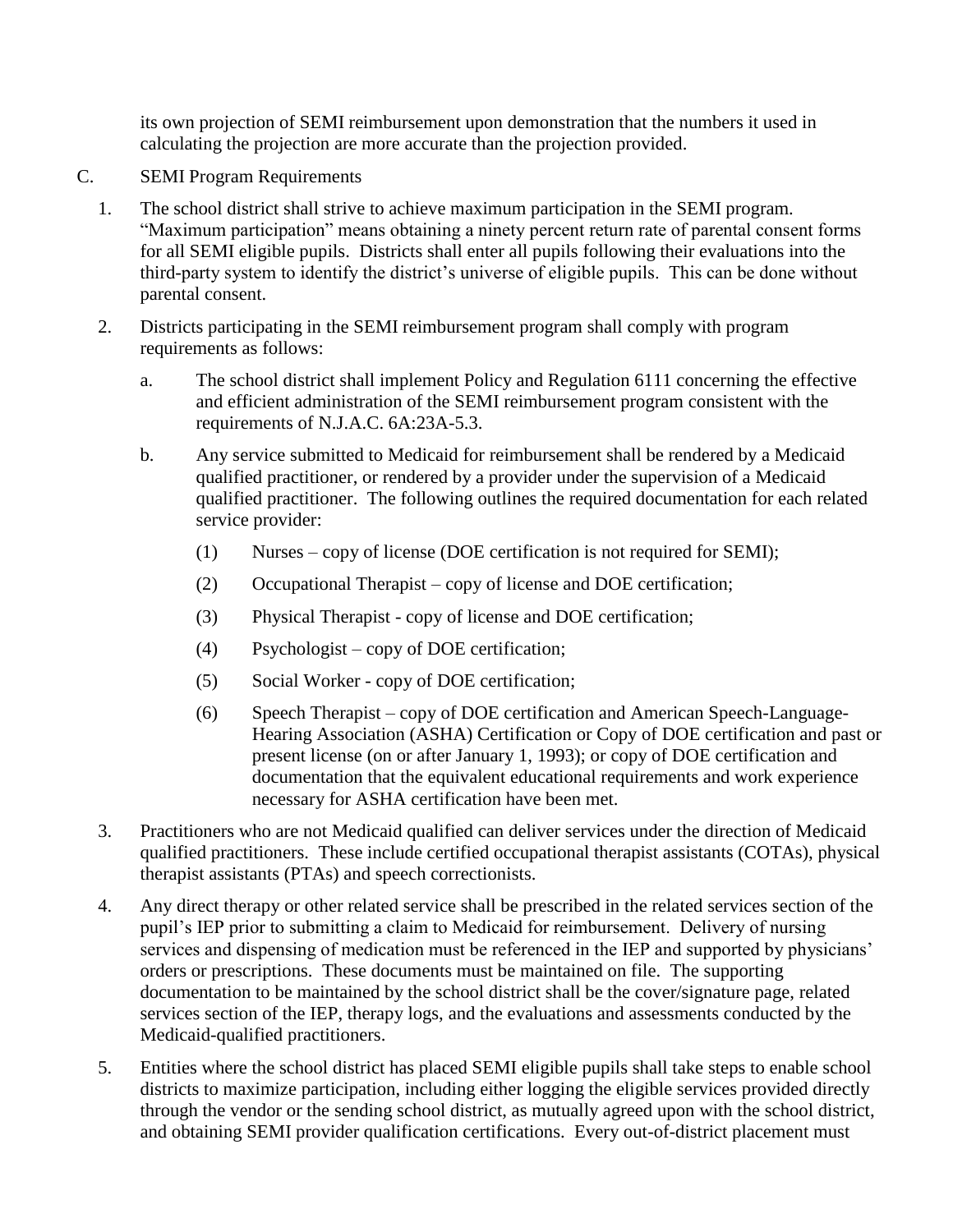its own projection of SEMI reimbursement upon demonstration that the numbers it used in calculating the projection are more accurate than the projection provided.

- C. SEMI Program Requirements
	- 1. The school district shall strive to achieve maximum participation in the SEMI program. "Maximum participation" means obtaining a ninety percent return rate of parental consent forms for all SEMI eligible pupils. Districts shall enter all pupils following their evaluations into the third-party system to identify the district's universe of eligible pupils. This can be done without parental consent.
	- 2. Districts participating in the SEMI reimbursement program shall comply with program requirements as follows:
		- a. The school district shall implement Policy and Regulation 6111 concerning the effective and efficient administration of the SEMI reimbursement program consistent with the requirements of N.J.A.C. 6A:23A-5.3.
		- b. Any service submitted to Medicaid for reimbursement shall be rendered by a Medicaid qualified practitioner, or rendered by a provider under the supervision of a Medicaid qualified practitioner. The following outlines the required documentation for each related service provider:
			- (1) Nurses copy of license (DOE certification is not required for SEMI);
			- (2) Occupational Therapist copy of license and DOE certification;
			- (3) Physical Therapist copy of license and DOE certification;
			- (4) Psychologist copy of DOE certification;
			- (5) Social Worker copy of DOE certification;
			- (6) Speech Therapist copy of DOE certification and American Speech-Language-Hearing Association (ASHA) Certification or Copy of DOE certification and past or present license (on or after January 1, 1993); or copy of DOE certification and documentation that the equivalent educational requirements and work experience necessary for ASHA certification have been met.
	- 3. Practitioners who are not Medicaid qualified can deliver services under the direction of Medicaid qualified practitioners. These include certified occupational therapist assistants (COTAs), physical therapist assistants (PTAs) and speech correctionists.
	- 4. Any direct therapy or other related service shall be prescribed in the related services section of the pupil's IEP prior to submitting a claim to Medicaid for reimbursement. Delivery of nursing services and dispensing of medication must be referenced in the IEP and supported by physicians' orders or prescriptions. These documents must be maintained on file. The supporting documentation to be maintained by the school district shall be the cover/signature page, related services section of the IEP, therapy logs, and the evaluations and assessments conducted by the Medicaid-qualified practitioners.
	- 5. Entities where the school district has placed SEMI eligible pupils shall take steps to enable school districts to maximize participation, including either logging the eligible services provided directly through the vendor or the sending school district, as mutually agreed upon with the school district, and obtaining SEMI provider qualification certifications. Every out-of-district placement must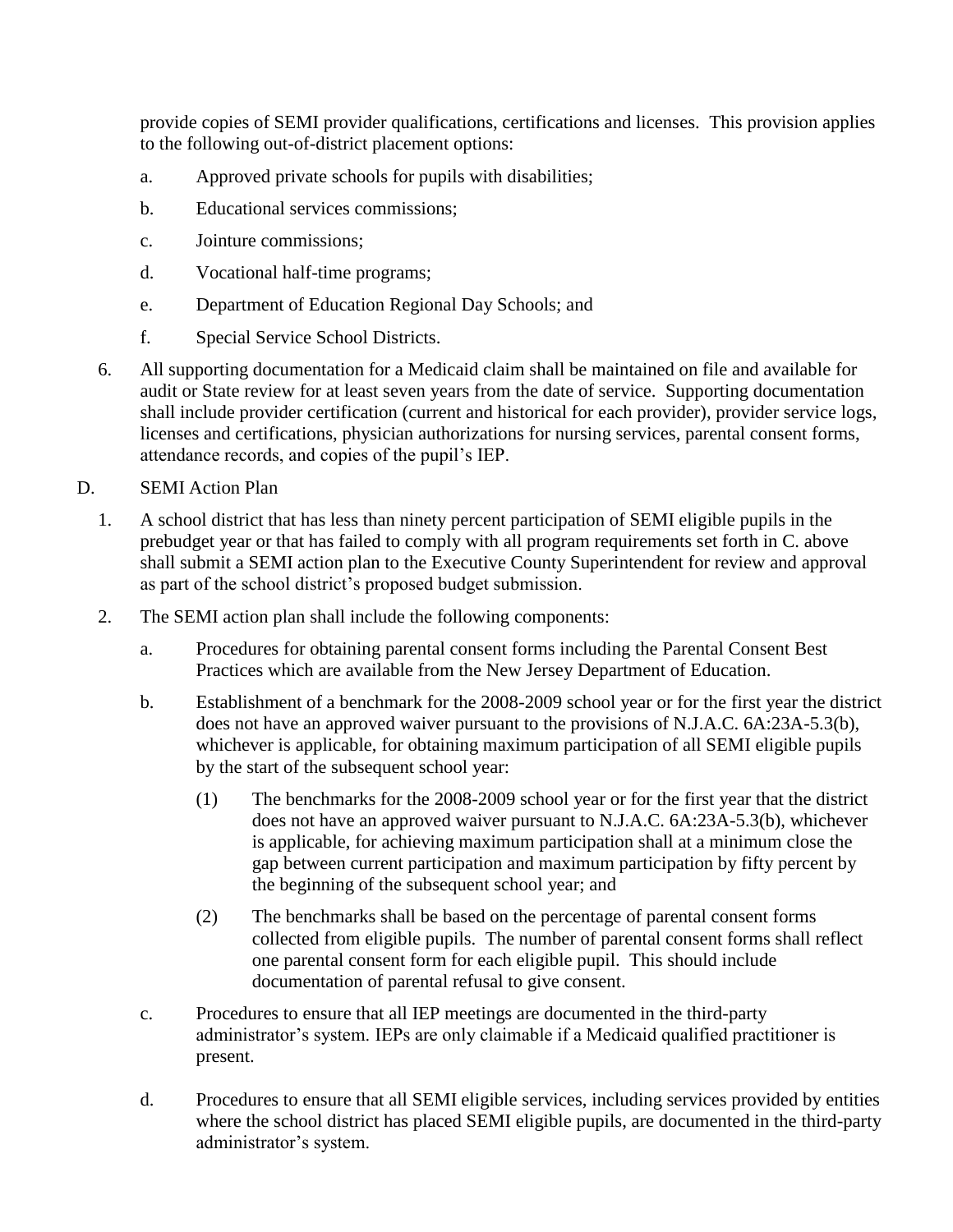provide copies of SEMI provider qualifications, certifications and licenses. This provision applies to the following out-of-district placement options:

- a. Approved private schools for pupils with disabilities;
- b. Educational services commissions;
- c. Jointure commissions;
- d. Vocational half-time programs;
- e. Department of Education Regional Day Schools; and
- f. Special Service School Districts.
- 6. All supporting documentation for a Medicaid claim shall be maintained on file and available for audit or State review for at least seven years from the date of service. Supporting documentation shall include provider certification (current and historical for each provider), provider service logs, licenses and certifications, physician authorizations for nursing services, parental consent forms, attendance records, and copies of the pupil's IEP.
- D. SEMI Action Plan
	- 1. A school district that has less than ninety percent participation of SEMI eligible pupils in the prebudget year or that has failed to comply with all program requirements set forth in C. above shall submit a SEMI action plan to the Executive County Superintendent for review and approval as part of the school district's proposed budget submission.
	- 2. The SEMI action plan shall include the following components:
		- a. Procedures for obtaining parental consent forms including the Parental Consent Best Practices which are available from the New Jersey Department of Education.
		- b. Establishment of a benchmark for the 2008-2009 school year or for the first year the district does not have an approved waiver pursuant to the provisions of N.J.A.C. 6A:23A-5.3(b), whichever is applicable, for obtaining maximum participation of all SEMI eligible pupils by the start of the subsequent school year:
			- (1) The benchmarks for the 2008-2009 school year or for the first year that the district does not have an approved waiver pursuant to N.J.A.C. 6A:23A-5.3(b), whichever is applicable, for achieving maximum participation shall at a minimum close the gap between current participation and maximum participation by fifty percent by the beginning of the subsequent school year; and
			- (2) The benchmarks shall be based on the percentage of parental consent forms collected from eligible pupils. The number of parental consent forms shall reflect one parental consent form for each eligible pupil. This should include documentation of parental refusal to give consent.
		- c. Procedures to ensure that all IEP meetings are documented in the third-party administrator's system. IEPs are only claimable if a Medicaid qualified practitioner is present.
		- d. Procedures to ensure that all SEMI eligible services, including services provided by entities where the school district has placed SEMI eligible pupils, are documented in the third-party administrator's system.